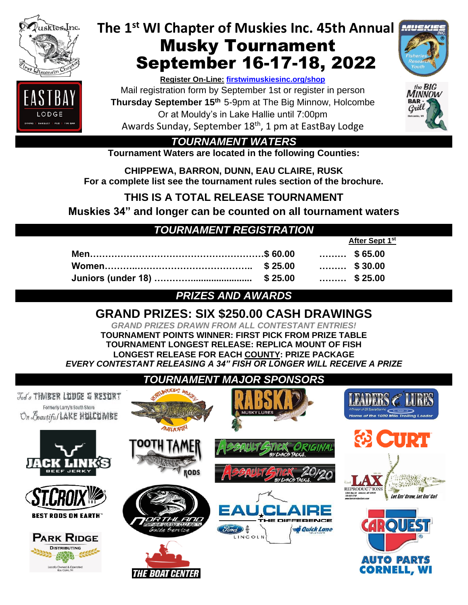

LODGE

**bining** | 8

# **The 1st WI Chapter of Muskies Inc. 45th Annual** Musky Tournament September 16-17-18, 2022

#### **Register On-Line: [firstwimuskiesinc.org/shop](http://www.firstwimuskiesinc.org/shop)**

Mail registration form by September 1st or register in person **Thursday September 15<sup>th</sup> 5-9pm at The Big Minnow, Holcombe** Or at Mouldy's in Lake Hallie until 7:00pm Awards Sunday, September 18<sup>th</sup>, 1 pm at EastBay Lodge



the BIG<br>MINNOW **BAR** Grill

**After Sept 1st**

*TOURNAMENT WATERS*

**Tournament Waters are located in the following Counties:**

**CHIPPEWA, BARRON, DUNN, EAU CLAIRE, RUSK For a complete list see the tournament rules section of the brochure.**

**THIS IS A TOTAL RELEASE TOURNAMENT** 

**Muskies 34" and longer can be counted on all tournament waters**

# *TOURNAMENT REGISTRATION*

|  | $\cdots \cdots$ \$65.00 |  |
|--|-------------------------|--|
|  |                         |  |
|  |                         |  |

## *PRIZES AND AWARDS*

# **GRAND PRIZES: SIX \$250.00 CASH DRAWINGS**

*GRAND PRIZES DRAWN FROM ALL CONTESTANT ENTRIES!* **TOURNAMENT POINTS WINNER: FIRST PICK FROM PRIZE TABLE TOURNAMENT LONGEST RELEASE: REPLICA MOUNT OF FISH LONGEST RELEASE FOR EACH COUNTY: PRIZE PACKAGE** *EVERY CONTESTANT RELEASING A 34" FISH OR LONGER WILL RECEIVE A PRIZE* 

#### *TOURNAMENT MAJOR SPONSORS* LEADERS <mark>& LURES</mark> Todo THMEER LUDGE & RESURT Formerly Larry's South Shore On Boautiful LAKE HULLUMBE me of the 1000 Mile Trolling L **UTHORIT** 69 CTIPT **RODS** REPRODUC<sup>T</sup>IONS Let Em' Grow, Let Em' Go! **BEST RODS ON EARTH** RO) *Quick Lane* **PARK RIDGE DISTRIBUTING Auto Parts** Owned & Op<br>Eau Claire, Wi **CORNELL, WI THE BOAT CENTER**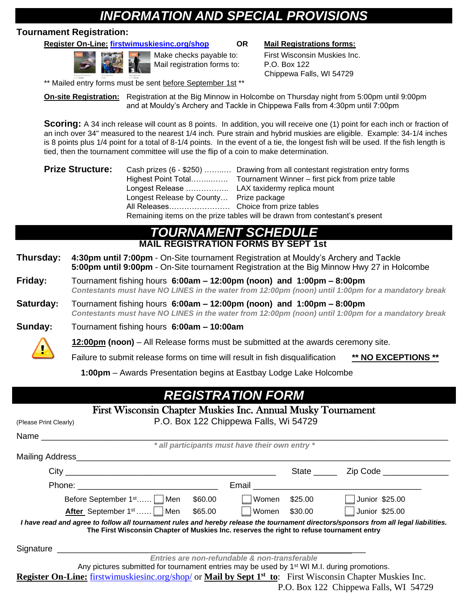# *INFORMATION AND SPECIAL PROVISIONS*

#### **Tournament Registration:**

**Register On-Line: [firstwimuskiesinc.org/shop](http://www.firstwimuskiesinc.org/shop) OR Mail Registrations forms:**



Mail registration forms to: P.O. Box 122

Make checks payable to: First Wisconsin Muskies Inc. Chippewa Falls, WI 54729

\*\* Mailed entry forms must be sent before September 1st \*\*

**On-site Registration:** Registration at the Big Minnow in Holcombe on Thursday night from 5:00pm until 9:00pm and at Mouldy's Archery and Tackle in Chippewa Falls from 4:30pm until 7:00pm

**Scoring:** A 34 inch release will count as 8 points. In addition, you will receive one (1) point for each inch or fraction of an inch over 34" measured to the nearest 1/4 inch. Pure strain and hybrid muskies are eligible. Example: 34-1/4 inches is 8 points plus 1/4 point for a total of 8-1/4 points. In the event of a tie, the longest fish will be used. If the fish length is tied, then the tournament committee will use the flip of a coin to make determination.

| <b>Prize Structure:</b> |                                                                             | Cash prizes (6 - \$250)  Drawing from all contestant registration entry forms |  |  |
|-------------------------|-----------------------------------------------------------------------------|-------------------------------------------------------------------------------|--|--|
|                         |                                                                             |                                                                               |  |  |
|                         |                                                                             |                                                                               |  |  |
|                         | Longest Release by County Prize package                                     |                                                                               |  |  |
|                         |                                                                             |                                                                               |  |  |
|                         | Remaining items on the prize tables will be drawn from contestant's present |                                                                               |  |  |

### *TOURNAMENT SCHEDULE* **MAIL REGISTRATION FORMS BY SEPT 1st**

- **Thursday: 4:30pm until 7:00pm** On-Site tournament Registration at Mouldy's Archery and Tackle **5:00pm until 9:00pm** - On-Site tournament Registration at the Big Minnow Hwy 27 in Holcombe
- **Friday:** Tournament fishing hours **6:00am – 12:00pm (noon) and 1:00pm – 8:00pm** *Contestants must have NO LINES in the water from 12:00pm (noon) until 1:00pm for a mandatory break*
- **Saturday:** Tournament fishing hours **6:00am – 12:00pm (noon) and 1:00pm – 8:00pm**  *Contestants must have NO LINES in the water from 12:00pm (noon) until 1:00pm for a mandatory break*

**Sunday:** Tournament fishing hours **6:00am – 10:00am**

 **12:00pm (noon)** – All Release forms must be submitted at the awards ceremony site.

Failure to submit release forms on time will result in fish disqualification **\*\* NO EXCEPTIONS \*\***

 **1:00pm** – Awards Presentation begins at Eastbay Lodge Lake Holcombe

# *REGISTRATION FORM*

| First Wisconsin Chapter Muskies Inc. Annual Musky Tournament                                                                                                                                                                       |                                                |                                                   |
|------------------------------------------------------------------------------------------------------------------------------------------------------------------------------------------------------------------------------------|------------------------------------------------|---------------------------------------------------|
| (Please Print Clearly)                                                                                                                                                                                                             | P.O. Box 122 Chippewa Falls, Wi 54729          |                                                   |
| Name                                                                                                                                                                                                                               |                                                |                                                   |
|                                                                                                                                                                                                                                    | * all participants must have their own entry * |                                                   |
|                                                                                                                                                                                                                                    |                                                |                                                   |
|                                                                                                                                                                                                                                    |                                                | State <u>Zip</u> Code                             |
| Phone: <u>__________________________________</u>                                                                                                                                                                                   |                                                | Email <b>Email Email Email <b>Email Email</b></b> |
| Before September 1 <sup>st</sup>   Men \$60.00   Women \$25.00                                                                                                                                                                     |                                                | <b>Junior \$25.00</b>                             |
| After September 1st    Men \$65.00   Women \$30.00                                                                                                                                                                                 |                                                | <b>Junior \$25.00</b>                             |
| I have read and agree to follow all tournament rules and hereby release the tournament directors/sponsors from all legal liabilities.<br>The First Wisconsin Chapter of Muskies Inc. reserves the right to refuse tournament entry |                                                |                                                   |
| Signature __________                                                                                                                                                                                                               |                                                |                                                   |
|                                                                                                                                                                                                                                    | Entries are non-refundable & non-transferable  |                                                   |
| Any pictures submitted for tournament entries may be used by $1st$ WI M.I. during promotions.                                                                                                                                      |                                                |                                                   |
| <b>Register On-Line:</b> firstwimuskiesinc.org/shop/ or <b>Mail by Sept 1<sup>st</sup> to</b> : First Wisconsin Chapter Muskies Inc.                                                                                               |                                                |                                                   |
|                                                                                                                                                                                                                                    |                                                | P.O. Box 122 Chippewa Falls, WI 54729             |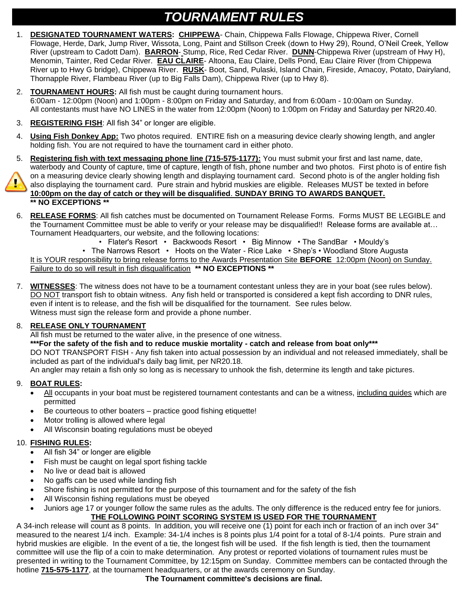# *TOURNAMENT RULES*

- 1. **DESIGNATED TOURNAMENT WATERS: CHIPPEWA** Chain, Chippewa Falls Flowage, Chippewa River, Cornell Flowage, Herde, Dark, Jump River, Wissota, Long, Paint and Stillson Creek (down to Hwy 29), Round, O'Neil Creek, Yellow River (upstream to Cadott Dam). **BARRON**- Stump, Rice, Red Cedar River. **DUNN**-Chippewa River (upstream of Hwy H), Menomin, Tainter, Red Cedar River. **EAU CLAIRE**- Altoona, Eau Claire, Dells Pond, Eau Claire River (from Chippewa River up to Hwy G bridge), Chippewa River. **RUSK**- Boot, Sand, Pulaski, Island Chain, Fireside, Amacoy, Potato, Dairyland, Thornapple River, Flambeau River (up to Big Falls Dam), Chippewa River (up to Hwy 8).
- 2. **TOURNAMENT HOURS:** All fish must be caught during tournament hours. 6:00am - 12:00pm (Noon) and 1:00pm - 8:00pm on Friday and Saturday, and from 6:00am - 10:00am on Sunday. All contestants must have NO LINES in the water from 12:00pm (Noon) to 1:00pm on Friday and Saturday per NR20.40.
- 3. **REGISTERING FISH**: All fish 34" or longer are eligible.
- 4. **Using Fish Donkey App:** Two photos required. ENTIRE fish on a measuring device clearly showing length, and angler holding fish. You are not required to have the tournament card in either photo.
- 5. **Registering fish with text messaging phone line (715-575-1177):** You must submit your first and last name, date, waterbody and County of capture, time of capture, length of fish, phone number and two photos. First photo is of entire fish on a measuring device clearly showing length and displaying tournament card. Second photo is of the angler holding fish also displaying the tournament card. Pure strain and hybrid muskies are eligible. Releases MUST be texted in before

**10:00pm on the day of catch or they will be disqualified**. **SUNDAY BRING TO AWARDS BANQUET. \*\* NO EXCEPTIONS \*\***

- 6. **RELEASE FORMS**: All fish catches must be documented on Tournament Release Forms. Forms MUST BE LEGIBLE and the Tournament Committee must be able to verify or your release may be disqualified!! Release forms are available at… Tournament Headquarters, our website, and the following locations:
	- Flater's Resort Backwoods Resort Big Minnow The SandBar Mouldy's

• The Narrows Resort • Hoots on the Water - Rice Lake • Shep's • Woodland Store Augusta It is YOUR responsibility to bring release forms to the Awards Presentation Site **BEFORE** 12:00pm (Noon) on Sunday. Failure to do so will result in fish disqualification **\*\* NO EXCEPTIONS \*\***

7. **WITNESSES**: The witness does not have to be a tournament contestant unless they are in your boat (see rules below). DO NOT transport fish to obtain witness. Any fish held or transported is considered a kept fish according to DNR rules, even if intent is to release, and the fish will be disqualified for the tournament. See rules below. Witness must sign the release form and provide a phone number.

#### 8. **RELEASE ONLY TOURNAMENT**

All fish must be returned to the water alive, in the presence of one witness.

**\*\*\*For the safety of the fish and to reduce muskie mortality - catch and release from boat only\*\*\***

DO NOT TRANSPORT FISH - Any fish taken into actual possession by an individual and not released immediately, shall be included as part of the individual's daily bag limit, per NR20.18.

An angler may retain a fish only so long as is necessary to unhook the fish, determine its length and take pictures.

#### 9. **BOAT RULES:**

- All occupants in your boat must be registered tournament contestants and can be a witness, including guides which are permitted
- Be courteous to other boaters practice good fishing etiquette!
- Motor trolling is allowed where legal
- All Wisconsin boating regulations must be obeyed

#### 10. **FISHING RULES:**

- All fish 34" or longer are eligible
- Fish must be caught on legal sport fishing tackle
- No live or dead bait is allowed
- No gaffs can be used while landing fish
- Shore fishing is not permitted for the purpose of this tournament and for the safety of the fish
- All Wisconsin fishing regulations must be obeyed
- Juniors age 17 or younger follow the same rules as the adults. The only difference is the reduced entry fee for juniors. **THE FOLLOWING POINT SCORING SYSTEM IS USED FOR THE TOURNAMENT**

A 34-inch release will count as 8 points. In addition, you will receive one (1) point for each inch or fraction of an inch over 34" measured to the nearest 1/4 inch. Example: 34-1/4 inches is 8 points plus 1/4 point for a total of 8-1/4 points. Pure strain and hybrid muskies are eligible. In the event of a tie, the longest fish will be used. If the fish length is tied, then the tournament committee will use the flip of a coin to make determination. Any protest or reported violations of tournament rules must be presented in writing to the Tournament Committee, by 12:15pm on Sunday. Committee members can be contacted through the hotline **715-575-1177**, at the tournament headquarters, or at the awards ceremony on Sunday.

**The Tournament committee's decisions are final.**